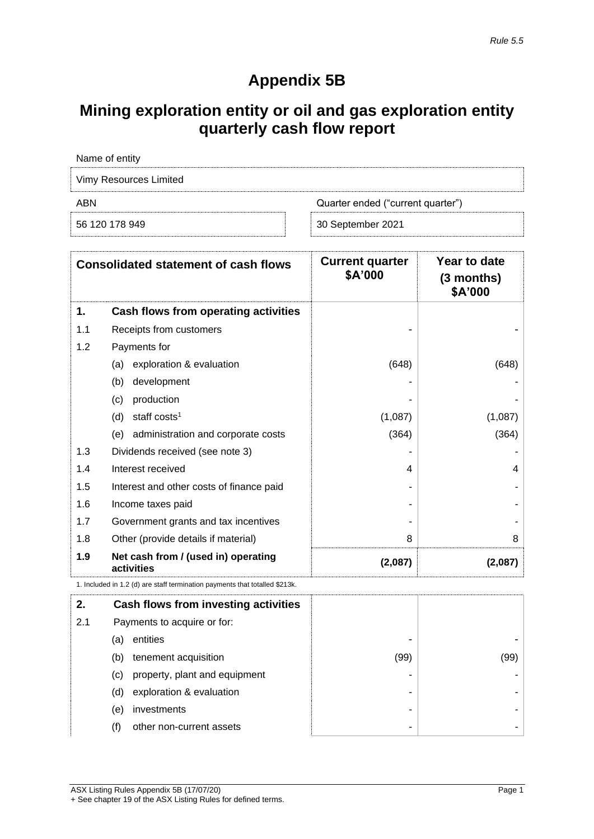## **Appendix 5B**

# **Mining exploration entity or oil and gas exploration entity quarterly cash flow report**

| Name of entity         |                                   |  |  |
|------------------------|-----------------------------------|--|--|
| Vimy Resources Limited |                                   |  |  |
| ABN                    | Quarter ended ("current quarter") |  |  |
| 56 120 178 949         | 30 September 2021                 |  |  |

| <b>Consolidated statement of cash flows</b> |                                                                             | <b>Current quarter</b><br>\$A'000 | Year to date<br>(3 months)<br>\$A'000 |
|---------------------------------------------|-----------------------------------------------------------------------------|-----------------------------------|---------------------------------------|
| 1.                                          | Cash flows from operating activities                                        |                                   |                                       |
| 1.1                                         | Receipts from customers                                                     |                                   |                                       |
| 1.2                                         | Payments for                                                                |                                   |                                       |
|                                             | exploration & evaluation<br>(a)                                             | (648)                             | (648)                                 |
|                                             | development<br>(b)                                                          |                                   |                                       |
|                                             | production<br>(c)                                                           |                                   |                                       |
|                                             | staff costs <sup>1</sup><br>(d)                                             | (1,087)                           | (1,087)                               |
|                                             | administration and corporate costs<br>(e)                                   | (364)                             | (364)                                 |
| 1.3                                         | Dividends received (see note 3)                                             |                                   |                                       |
| 1.4                                         | Interest received                                                           | 4                                 | 4                                     |
| 1.5                                         | Interest and other costs of finance paid                                    |                                   |                                       |
| 1.6                                         | Income taxes paid                                                           |                                   |                                       |
| 1.7                                         | Government grants and tax incentives                                        |                                   |                                       |
| 1.8                                         | Other (provide details if material)                                         | 8                                 | 8                                     |
| 1.9                                         | Net cash from / (used in) operating<br>activities                           | (2,087)                           | (2,087)                               |
|                                             | 1. Included in 1.2 (d) are staff termination payments that totalled \$213k. |                                   |                                       |

| 2.  |     | Cash flows from investing activities |      |      |
|-----|-----|--------------------------------------|------|------|
| 2.1 |     | Payments to acquire or for:          |      |      |
|     | (a) | entities                             |      |      |
|     | (b) | tenement acquisition                 | (99) | (99) |
|     | (C) | property, plant and equipment        |      |      |
|     | (d) | exploration & evaluation             | -    |      |
|     | (e) | investments                          | -    |      |
|     | (f) | other non-current assets             | ٠    |      |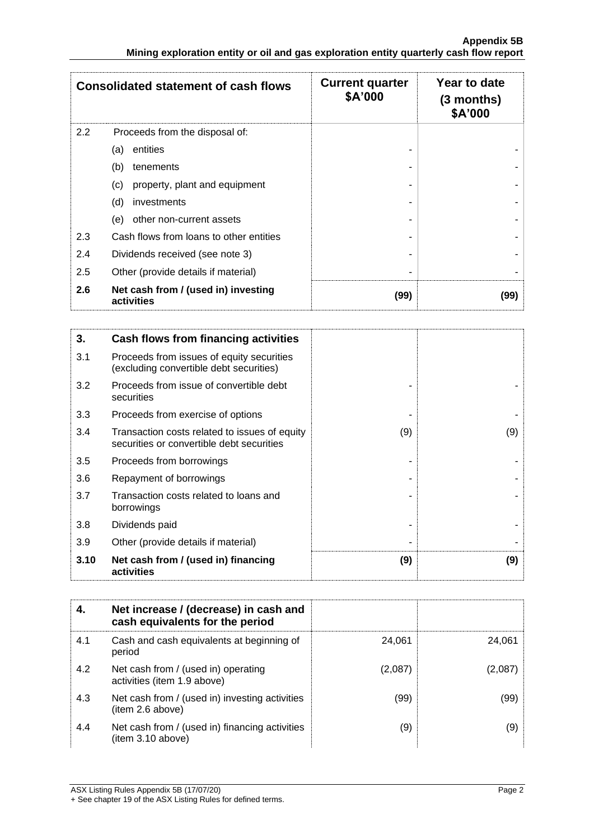| <b>Consolidated statement of cash flows</b> |                                                   | <b>Current quarter</b><br>\$A'000 | Year to date<br>(3 months)<br>\$A'000 |
|---------------------------------------------|---------------------------------------------------|-----------------------------------|---------------------------------------|
| 2.2                                         | Proceeds from the disposal of:                    |                                   |                                       |
|                                             | entities<br>(a)                                   |                                   |                                       |
|                                             | (b)<br>tenements                                  |                                   |                                       |
|                                             | property, plant and equipment<br>(c)              |                                   |                                       |
|                                             | (d)<br>investments                                |                                   |                                       |
|                                             | other non-current assets<br>(e)                   |                                   |                                       |
| 2.3                                         | Cash flows from loans to other entities           |                                   |                                       |
| 2.4                                         | Dividends received (see note 3)                   |                                   |                                       |
| 2.5                                         | Other (provide details if material)               |                                   |                                       |
| 2.6                                         | Net cash from / (used in) investing<br>activities | (99)                              | (99)                                  |

| 3.   | Cash flows from financing activities                                                       |     |     |
|------|--------------------------------------------------------------------------------------------|-----|-----|
| 3.1  | Proceeds from issues of equity securities<br>(excluding convertible debt securities)       |     |     |
| 3.2  | Proceeds from issue of convertible debt<br>securities                                      |     |     |
| 3.3  | Proceeds from exercise of options                                                          |     |     |
| 3.4  | Transaction costs related to issues of equity<br>securities or convertible debt securities | (9) | (9) |
| 3.5  | Proceeds from borrowings                                                                   |     |     |
| 3.6  | Repayment of borrowings                                                                    |     |     |
| 3.7  | Transaction costs related to loans and<br>borrowings                                       |     |     |
| 3.8  | Dividends paid                                                                             |     |     |
| 3.9  | Other (provide details if material)                                                        |     |     |
| 3.10 | Net cash from / (used in) financing<br>activities                                          | (9) | (9) |

|     | Net increase / (decrease) in cash and<br>cash equivalents for the period |         |         |
|-----|--------------------------------------------------------------------------|---------|---------|
| 4.1 | Cash and cash equivalents at beginning of<br>period                      | 24.061  | 24.061  |
| 4.2 | Net cash from / (used in) operating<br>activities (item 1.9 above)       | (2,087) | (2,087) |
| 4.3 | Net cash from / (used in) investing activities<br>(item 2.6 above)       | (99)    | (99)    |
| 4.4 | Net cash from / (used in) financing activities<br>item 3.10 above)       | (9)     | (9)     |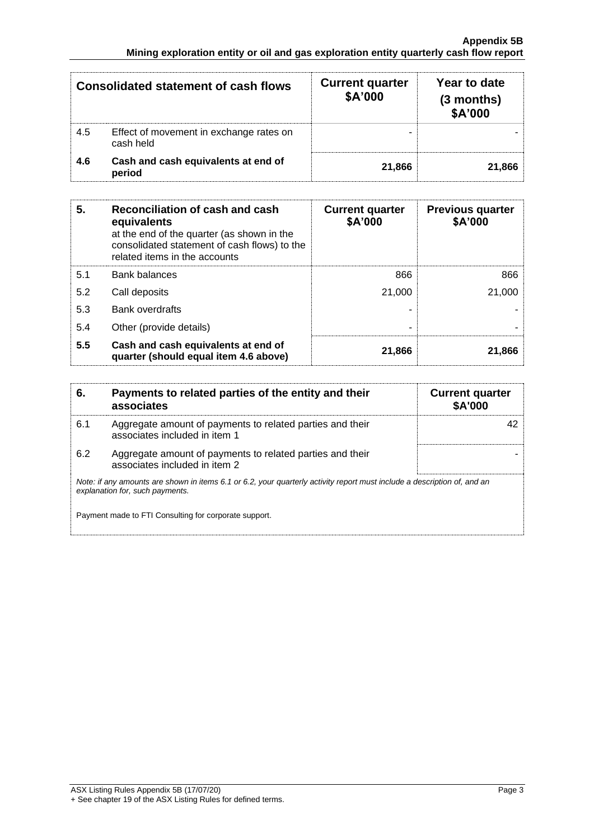| <b>Consolidated statement of cash flows</b> |                                                      | <b>Current quarter</b><br>\$A'000 | Year to date<br>(3 months)<br>\$A'000 |
|---------------------------------------------|------------------------------------------------------|-----------------------------------|---------------------------------------|
| 4.5                                         | Effect of movement in exchange rates on<br>cash held |                                   |                                       |
| 4.6                                         | Cash and cash equivalents at end of<br>period        | 21.866                            | 21.866                                |

| 5.  | Reconciliation of cash and cash<br>equivalents<br>at the end of the quarter (as shown in the<br>consolidated statement of cash flows) to the<br>related items in the accounts | <b>Current quarter</b><br>\$A'000 | <b>Previous quarter</b><br>\$A'000 |
|-----|-------------------------------------------------------------------------------------------------------------------------------------------------------------------------------|-----------------------------------|------------------------------------|
| 5.1 | <b>Bank balances</b>                                                                                                                                                          | 866                               | 866                                |
| 5.2 | Call deposits                                                                                                                                                                 | 21,000                            | 21,000                             |
| 5.3 | <b>Bank overdrafts</b>                                                                                                                                                        |                                   |                                    |
| 5.4 | Other (provide details)                                                                                                                                                       |                                   |                                    |
| 5.5 | Cash and cash equivalents at end of<br>quarter (should equal item 4.6 above)                                                                                                  | 21,866                            | 21,866                             |

| 6.  | Payments to related parties of the entity and their<br>associates                                                                                           | <b>Current quarter</b><br><b>\$A'000</b> |  |  |
|-----|-------------------------------------------------------------------------------------------------------------------------------------------------------------|------------------------------------------|--|--|
| 6.1 | Aggregate amount of payments to related parties and their<br>associates included in item 1                                                                  |                                          |  |  |
| 6.2 | Aggregate amount of payments to related parties and their<br>associates included in item 2                                                                  |                                          |  |  |
|     | Note: if any amounts are shown in items 6.1 or 6.2, your quarterly activity report must include a description of, and an<br>explanation for, such payments. |                                          |  |  |
|     | Payment made to FTI Consulting for corporate support.                                                                                                       |                                          |  |  |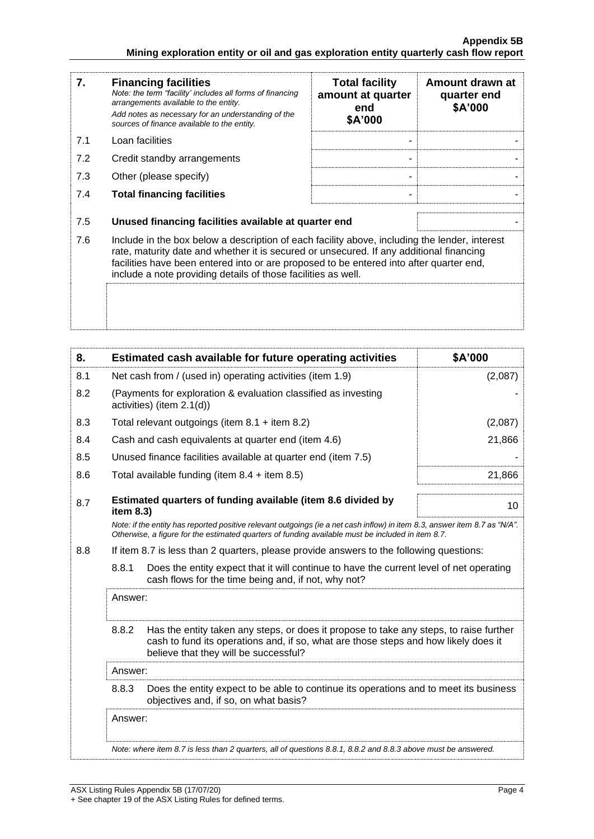| 7.  | <b>Financing facilities</b><br>Note: the term "facility' includes all forms of financing<br>arrangements available to the entity.<br>Add notes as necessary for an understanding of the<br>sources of finance available to the entity.                                                                                                               | <b>Total facility</b><br>amount at quarter<br>end<br>\$A'000 | Amount drawn at<br>quarter end<br>\$A'000 |  |
|-----|------------------------------------------------------------------------------------------------------------------------------------------------------------------------------------------------------------------------------------------------------------------------------------------------------------------------------------------------------|--------------------------------------------------------------|-------------------------------------------|--|
| 7.1 | Loan facilities                                                                                                                                                                                                                                                                                                                                      |                                                              |                                           |  |
| 7.2 | Credit standby arrangements                                                                                                                                                                                                                                                                                                                          |                                                              |                                           |  |
| 7.3 | Other (please specify)                                                                                                                                                                                                                                                                                                                               |                                                              |                                           |  |
| 7.4 | <b>Total financing facilities</b>                                                                                                                                                                                                                                                                                                                    |                                                              |                                           |  |
| 7.5 | Unused financing facilities available at quarter end                                                                                                                                                                                                                                                                                                 |                                                              |                                           |  |
| 7.6 | Include in the box below a description of each facility above, including the lender, interest<br>rate, maturity date and whether it is secured or unsecured. If any additional financing<br>facilities have been entered into or are proposed to be entered into after quarter end,<br>include a note providing details of those facilities as well. |                                                              |                                           |  |
|     |                                                                                                                                                                                                                                                                                                                                                      |                                                              |                                           |  |

| 8.      |                                                                                                                                                                                                                                 | Estimated cash available for future operating activities                                                                                                                                                                        | \$A'000 |
|---------|---------------------------------------------------------------------------------------------------------------------------------------------------------------------------------------------------------------------------------|---------------------------------------------------------------------------------------------------------------------------------------------------------------------------------------------------------------------------------|---------|
| 8.1     |                                                                                                                                                                                                                                 | Net cash from / (used in) operating activities (item 1.9)                                                                                                                                                                       | (2,087) |
| 8.2     |                                                                                                                                                                                                                                 | (Payments for exploration & evaluation classified as investing<br>activities) (item 2.1(d))                                                                                                                                     |         |
| 8.3     |                                                                                                                                                                                                                                 | Total relevant outgoings (item $8.1 +$ item $8.2$ )                                                                                                                                                                             | (2,087) |
| 8.4     |                                                                                                                                                                                                                                 | Cash and cash equivalents at quarter end (item 4.6)                                                                                                                                                                             | 21,866  |
| 8.5     |                                                                                                                                                                                                                                 | Unused finance facilities available at quarter end (item 7.5)                                                                                                                                                                   |         |
| 8.6     |                                                                                                                                                                                                                                 | Total available funding (item $8.4 +$ item $8.5$ )                                                                                                                                                                              | 21,866  |
| 8.7     | item $8.3$ )                                                                                                                                                                                                                    | Estimated quarters of funding available (item 8.6 divided by                                                                                                                                                                    | 10      |
|         |                                                                                                                                                                                                                                 | Note: if the entity has reported positive relevant outgoings (ie a net cash inflow) in item 8.3, answer item 8.7 as "N/A".<br>Otherwise, a figure for the estimated quarters of funding available must be included in item 8.7. |         |
| 8.8     | If item 8.7 is less than 2 quarters, please provide answers to the following questions:                                                                                                                                         |                                                                                                                                                                                                                                 |         |
|         | 8.8.1                                                                                                                                                                                                                           | Does the entity expect that it will continue to have the current level of net operating<br>cash flows for the time being and, if not, why not?                                                                                  |         |
|         | Answer:                                                                                                                                                                                                                         |                                                                                                                                                                                                                                 |         |
|         | 8.8.2<br>Has the entity taken any steps, or does it propose to take any steps, to raise further<br>cash to fund its operations and, if so, what are those steps and how likely does it<br>believe that they will be successful? |                                                                                                                                                                                                                                 |         |
|         | Answer:                                                                                                                                                                                                                         |                                                                                                                                                                                                                                 |         |
|         | 8.8.3                                                                                                                                                                                                                           | Does the entity expect to be able to continue its operations and to meet its business<br>objectives and, if so, on what basis?                                                                                                  |         |
| Answer: |                                                                                                                                                                                                                                 |                                                                                                                                                                                                                                 |         |
|         |                                                                                                                                                                                                                                 | Note: where item 8.7 is less than 2 quarters, all of questions 8.8.1, 8.8.2 and 8.8.3 above must be answered.                                                                                                                   |         |